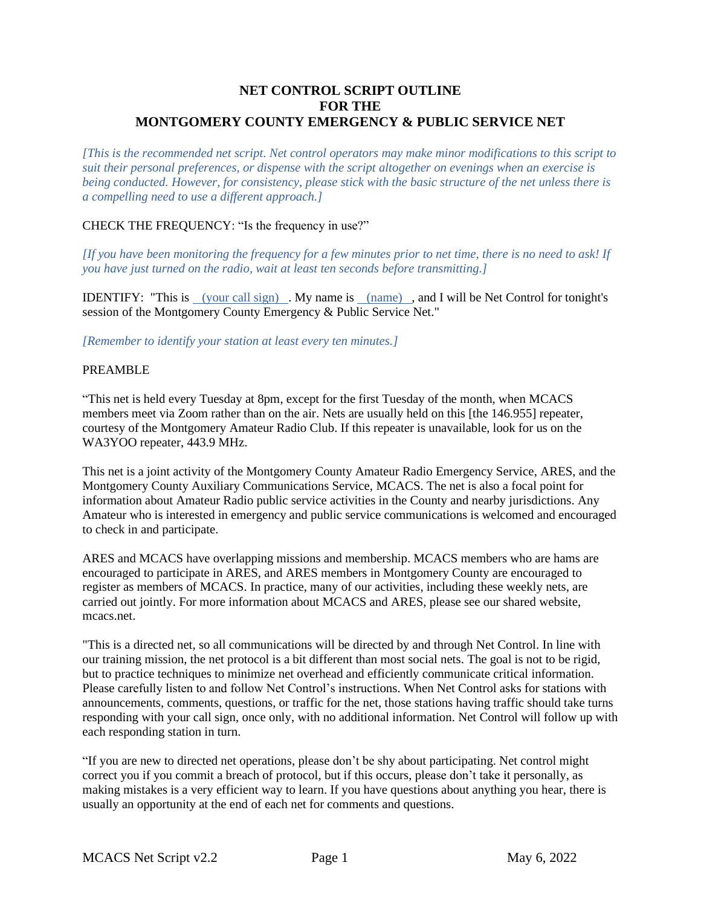# **NET CONTROL SCRIPT OUTLINE FOR THE MONTGOMERY COUNTY EMERGENCY & PUBLIC SERVICE NET**

*[This is the recommended net script. Net control operators may make minor modifications to this script to suit their personal preferences, or dispense with the script altogether on evenings when an exercise is being conducted. However, for consistency, please stick with the basic structure of the net unless there is a compelling need to use a different approach.]*

## CHECK THE FREQUENCY: "Is the frequency in use?"

*[If you have been monitoring the frequency for a few minutes prior to net time, there is no need to ask! If you have just turned on the radio, wait at least ten seconds before transmitting.]*

IDENTIFY: "This is (your call sign) . My name is (name) , and I will be Net Control for tonight's session of the Montgomery County Emergency & Public Service Net."

*[Remember to identify your station at least every ten minutes.]*

#### PREAMBLE

"This net is held every Tuesday at 8pm, except for the first Tuesday of the month, when MCACS members meet via Zoom rather than on the air. Nets are usually held on this [the 146.955] repeater, courtesy of the Montgomery Amateur Radio Club. If this repeater is unavailable, look for us on the WA3YOO repeater, 443.9 MHz.

This net is a joint activity of the Montgomery County Amateur Radio Emergency Service, ARES, and the Montgomery County Auxiliary Communications Service, MCACS. The net is also a focal point for information about Amateur Radio public service activities in the County and nearby jurisdictions. Any Amateur who is interested in emergency and public service communications is welcomed and encouraged to check in and participate.

ARES and MCACS have overlapping missions and membership. MCACS members who are hams are encouraged to participate in ARES, and ARES members in Montgomery County are encouraged to register as members of MCACS. In practice, many of our activities, including these weekly nets, are carried out jointly. For more information about MCACS and ARES, please see our shared website, mcacs.net.

"This is a directed net, so all communications will be directed by and through Net Control. In line with our training mission, the net protocol is a bit different than most social nets. The goal is not to be rigid, but to practice techniques to minimize net overhead and efficiently communicate critical information. Please carefully listen to and follow Net Control's instructions. When Net Control asks for stations with announcements, comments, questions, or traffic for the net, those stations having traffic should take turns responding with your call sign, once only, with no additional information. Net Control will follow up with each responding station in turn.

"If you are new to directed net operations, please don't be shy about participating. Net control might correct you if you commit a breach of protocol, but if this occurs, please don't take it personally, as making mistakes is a very efficient way to learn. If you have questions about anything you hear, there is usually an opportunity at the end of each net for comments and questions.